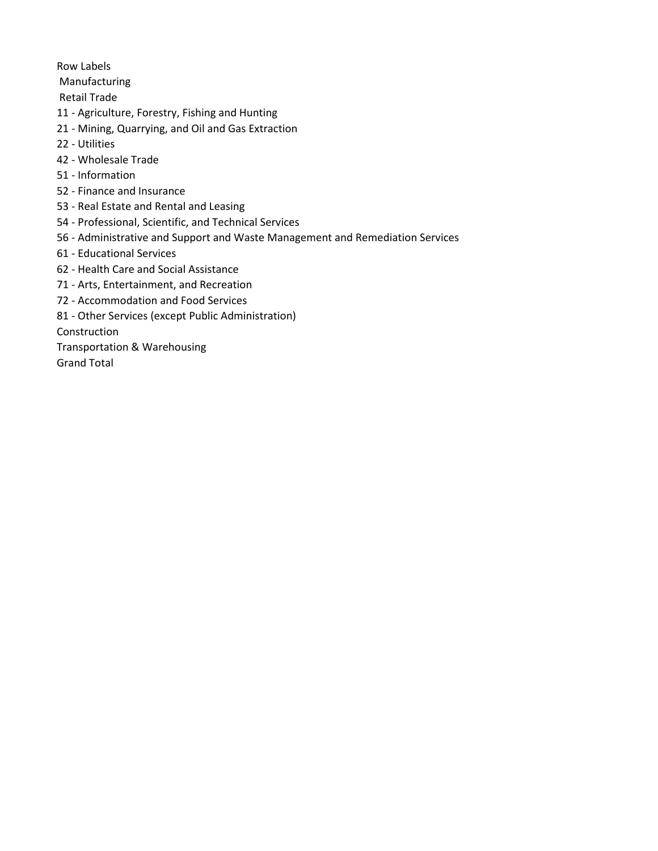Row Labels

Manufacturing

Retail Trade

- 11 Agriculture, Forestry, Fishing and Hunting
- 21 Mining, Quarrying, and Oil and Gas Extraction
- 22 Utilities
- 42 Wholesale Trade
- 51 Information
- 52 Finance and Insurance
- 53 Real Estate and Rental and Leasing
- 54 Professional, Scientific, and Technical Services
- 56 Administrative and Support and Waste Management and Remediation Services
- 61 Educational Services
- 62 Health Care and Social Assistance
- 71 Arts, Entertainment, and Recreation
- 72 Accommodation and Food Services
- 81 Other Services (except Public Administration)

Construction

Transportation & Warehousing

Grand Total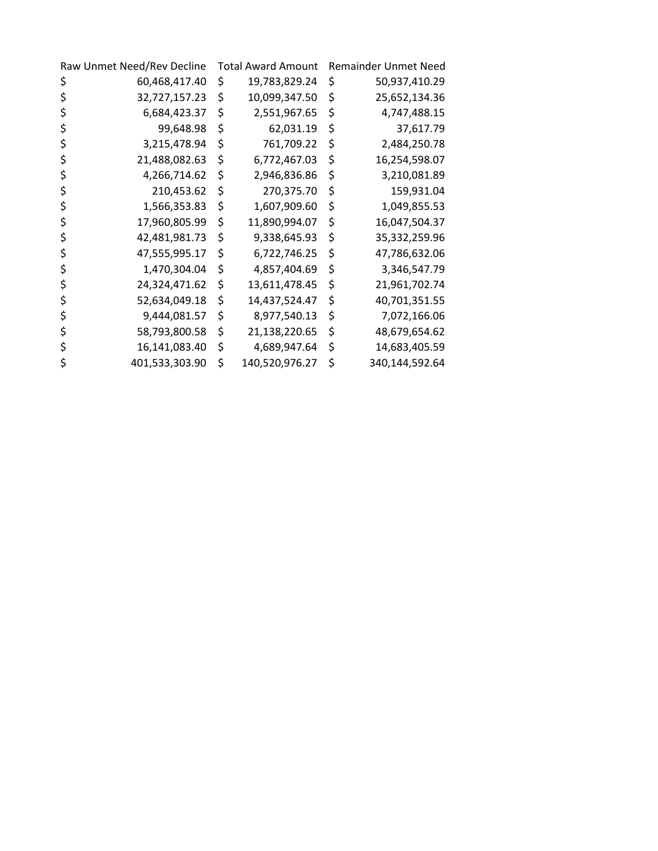| Raw Unmet Need/Rev Decline |                | <b>Total Award Amount</b> |                | <b>Remainder Unmet Need</b> |                |
|----------------------------|----------------|---------------------------|----------------|-----------------------------|----------------|
| Ş                          | 60,468,417.40  | \$                        | 19,783,829.24  | \$                          | 50,937,410.29  |
| \$                         | 32,727,157.23  | \$                        | 10,099,347.50  | \$                          | 25,652,134.36  |
| \$                         | 6,684,423.37   | \$                        | 2,551,967.65   | \$                          | 4,747,488.15   |
| \$                         | 99,648.98      | \$                        | 62,031.19      | \$                          | 37,617.79      |
| \$                         | 3,215,478.94   | \$                        | 761,709.22     | \$                          | 2,484,250.78   |
| \$                         | 21,488,082.63  | \$                        | 6,772,467.03   | \$                          | 16,254,598.07  |
| \$                         | 4,266,714.62   | \$                        | 2,946,836.86   | \$                          | 3,210,081.89   |
| \$                         | 210,453.62     | \$                        | 270,375.70     | \$                          | 159,931.04     |
| \$                         | 1,566,353.83   | \$                        | 1,607,909.60   | \$                          | 1,049,855.53   |
| \$                         | 17,960,805.99  | \$                        | 11,890,994.07  | \$                          | 16,047,504.37  |
| \$                         | 42,481,981.73  | \$                        | 9,338,645.93   | \$                          | 35,332,259.96  |
| \$                         | 47,555,995.17  | \$                        | 6,722,746.25   | \$                          | 47,786,632.06  |
| \$                         | 1,470,304.04   | \$                        | 4,857,404.69   | \$                          | 3,346,547.79   |
| \$                         | 24,324,471.62  | \$                        | 13,611,478.45  | \$                          | 21,961,702.74  |
| \$                         | 52,634,049.18  | \$                        | 14,437,524.47  | \$                          | 40,701,351.55  |
| \$                         | 9,444,081.57   | \$                        | 8,977,540.13   | \$                          | 7,072,166.06   |
| \$                         | 58,793,800.58  | \$                        | 21,138,220.65  | \$                          | 48,679,654.62  |
| \$                         | 16,141,083.40  | \$                        | 4,689,947.64   | \$                          | 14,683,405.59  |
| \$                         | 401,533,303.90 | \$                        | 140,520,976.27 | \$                          | 340,144,592.64 |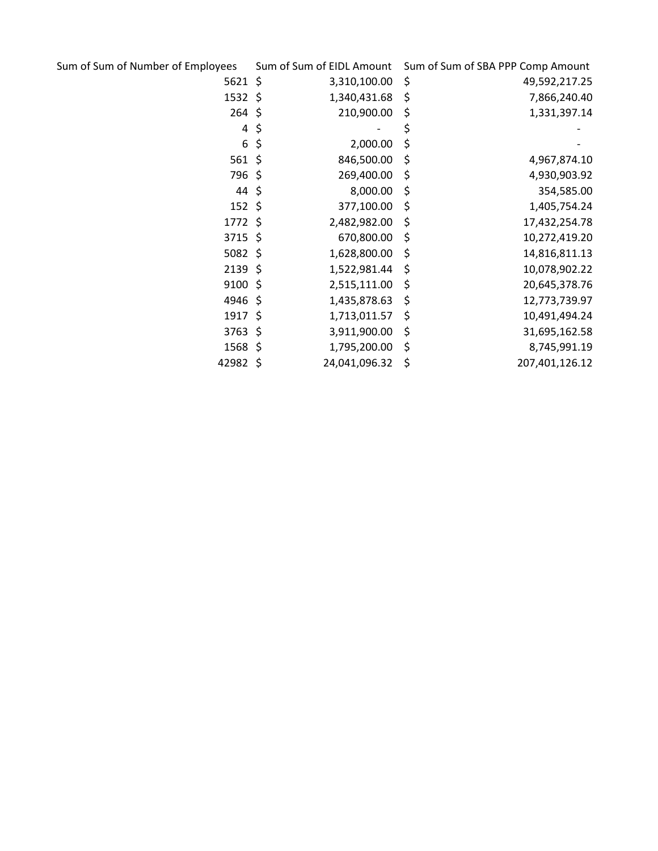| Sum of Sum of Number of Employees |         | Sum of Sum of EIDL Amount | Sum of Sum of SBA PPP Comp Amount |
|-----------------------------------|---------|---------------------------|-----------------------------------|
| 5621 \$                           |         | 3,310,100.00              | \$<br>49,592,217.25               |
| $1532 \; \zeta$                   |         | 1,340,431.68              | \$<br>7,866,240.40                |
| $264$ \$                          |         | 210,900.00                | \$<br>1,331,397.14                |
| 4                                 | $\zeta$ |                           | \$                                |
| 6                                 | \$      | 2,000.00                  | \$                                |
| $561$ \$                          |         | 846,500.00                | \$<br>4,967,874.10                |
| 796\$                             |         | 269,400.00                | \$<br>4,930,903.92                |
| $44 \;$ \$                        |         | 8,000.00                  | \$<br>354,585.00                  |
| $152 \; \text{S}$                 |         | 377,100.00                | \$<br>1,405,754.24                |
| $1772$ \$                         |         | 2,482,982.00              | \$<br>17,432,254.78               |
| 3715 \$                           |         | 670,800.00                | \$<br>10,272,419.20               |
| 5082 \$                           |         | 1,628,800.00              | \$<br>14,816,811.13               |
| $2139$ \$                         |         | 1,522,981.44              | \$<br>10,078,902.22               |
| $9100$ \$                         |         | 2,515,111.00              | \$<br>20,645,378.76               |
| 4946 \$                           |         | 1,435,878.63              | \$<br>12,773,739.97               |
| $1917$ \$                         |         | 1,713,011.57              | \$<br>10,491,494.24               |
| 3763 \$                           |         | 3,911,900.00              | \$<br>31,695,162.58               |
| $1568 \; \zeta$                   |         | 1,795,200.00              | \$<br>8,745,991.19                |
| 42982 \$                          |         | 24,041,096.32             | \$<br>207,401,126.12              |
|                                   |         |                           |                                   |